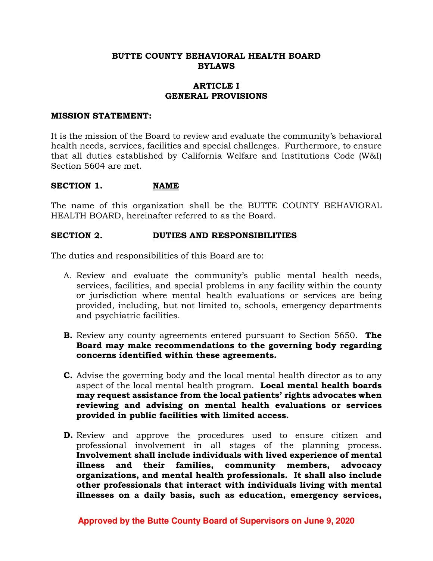#### **BUTTE COUNTY BEHAVIORAL HEALTH BOARD BYLAWS**

#### **ARTICLE I GENERAL PROVISIONS**

#### **MISSION STATEMENT:**

It is the mission of the Board to review and evaluate the community's behavioral health needs, services, facilities and special challenges. Furthermore, to ensure that all duties established by California Welfare and Institutions Code (W&I) Section 5604 are met.

#### SECTION 1. NAME

The name of this organization shall be the BUTTE COUNTY BEHAVIORAL HEALTH BOARD, hereinafter referred to as the Board.

#### **SECTION 2. DUTIES AND RESPONSIBILITIES**

The duties and responsibilities of this Board are to:

- A. Review and evaluate the community's public mental health needs, services, facilities, and special problems in any facility within the county or jurisdiction where mental health evaluations or services are being provided, including, but not limited to, schools, emergency departments and psychiatric facilities.
- **B.** Review any county agreements entered pursuant to Section 5650. **The Board may make recommendations to the governing body regarding concerns identified within these agreements.**
- **C.** Advise the governing body and the local mental health director as to any aspect of the local mental health program. **Local mental health boards may request assistance from the local patients' rights advocates when reviewing and advising on mental health evaluations or services provided in public facilities with limited access.**
- **D.** Review and approve the procedures used to ensure citizen and professional involvement in all stages of the planning process. **Involvement shall include individuals with lived experience of mental illness and their families, community members, advocacy organizations, and mental health professionals. It shall also include other professionals that interact with individuals living with mental illnesses on a daily basis, such as education, emergency services,**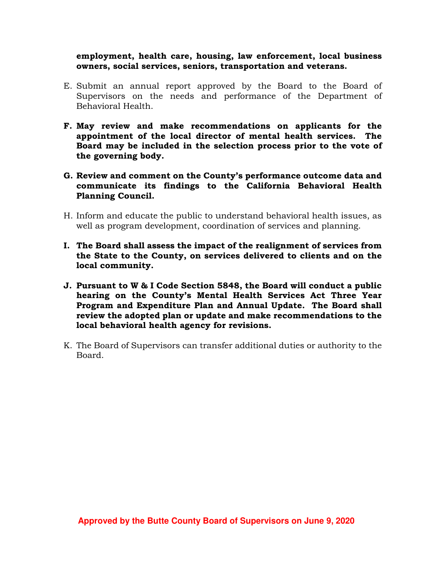**employment, health care, housing, law enforcement, local business owners, social services, seniors, transportation and veterans.** 

- E. Submit an annual report approved by the Board to the Board of Supervisors on the needs and performance of the Department of Behavioral Health.
- **F. May review and make recommendations on applicants for the appointment of the local director of mental health services. The Board may be included in the selection process prior to the vote of the governing body.**
- **G. Review and comment on the County's performance outcome data and communicate its findings to the California Behavioral Health Planning Council.**
- H. Inform and educate the public to understand behavioral health issues, as well as program development, coordination of services and planning.
- **I. The Board shall assess the impact of the realignment of services from the State to the County, on services delivered to clients and on the local community.**
- **J. Pursuant to W & I Code Section 5848, the Board will conduct a public hearing on the County's Mental Health Services Act Three Year Program and Expenditure Plan and Annual Update. The Board shall review the adopted plan or update and make recommendations to the local behavioral health agency for revisions.**
- K. The Board of Supervisors can transfer additional duties or authority to the Board.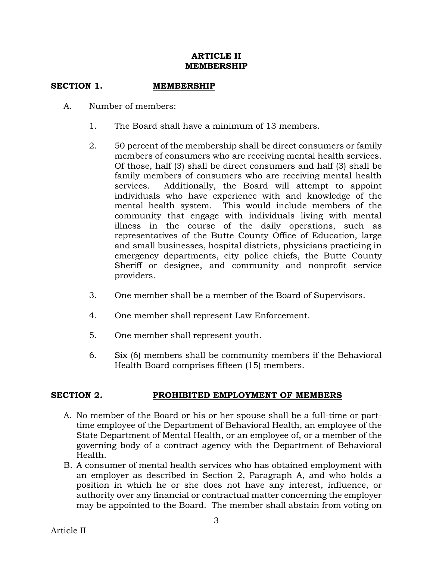## **ARTICLE II MEMBERSHIP**

# SECTION 1. **MEMBERSHIP**

- A. Number of members:
	- 1. The Board shall have a minimum of 13 members.
	- 2. 50 percent of the membership shall be direct consumers or family members of consumers who are receiving mental health services. Of those, half (3) shall be direct consumers and half (3) shall be family members of consumers who are receiving mental health services. Additionally, the Board will attempt to appoint individuals who have experience with and knowledge of the mental health system. This would include members of the community that engage with individuals living with mental illness in the course of the daily operations, such as representatives of the Butte County Office of Education, large and small businesses, hospital districts, physicians practicing in emergency departments, city police chiefs, the Butte County Sheriff or designee, and community and nonprofit service providers.
	- 3. One member shall be a member of the Board of Supervisors.
	- 4. One member shall represent Law Enforcement.
	- 5. One member shall represent youth.
	- 6. Six (6) members shall be community members if the Behavioral Health Board comprises fifteen (15) members.

### **SECTION 2. PROHIBITED EMPLOYMENT OF MEMBERS**

- A. No member of the Board or his or her spouse shall be a full-time or parttime employee of the Department of Behavioral Health, an employee of the State Department of Mental Health, or an employee of, or a member of the governing body of a contract agency with the Department of Behavioral Health.
- B. A consumer of mental health services who has obtained employment with an employer as described in Section 2, Paragraph A, and who holds a position in which he or she does not have any interest, influence, or authority over any financial or contractual matter concerning the employer may be appointed to the Board. The member shall abstain from voting on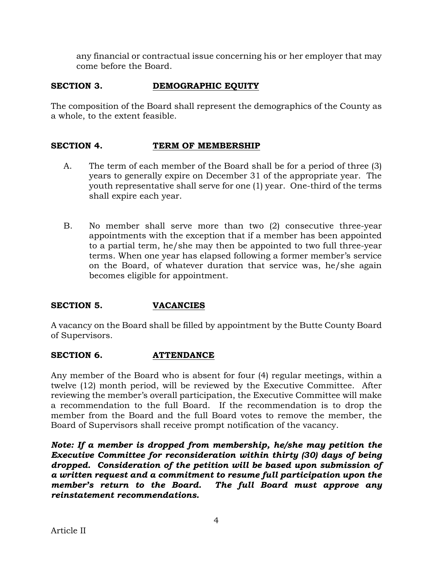any financial or contractual issue concerning his or her employer that may come before the Board.

# **SECTION 3. DEMOGRAPHIC EQUITY**

The composition of the Board shall represent the demographics of the County as a whole, to the extent feasible.

# **SECTION 4. TERM OF MEMBERSHIP**

- A. The term of each member of the Board shall be for a period of three (3) years to generally expire on December 31 of the appropriate year. The youth representative shall serve for one (1) year. One-third of the terms shall expire each year.
- B. No member shall serve more than two (2) consecutive three-year appointments with the exception that if a member has been appointed to a partial term, he/she may then be appointed to two full three-year terms. When one year has elapsed following a former member's service on the Board, of whatever duration that service was, he/she again becomes eligible for appointment.

# **SECTION 5. VACANCIES**

A vacancy on the Board shall be filled by appointment by the Butte County Board of Supervisors.

# SECTION 6. **ATTENDANCE**

Any member of the Board who is absent for four (4) regular meetings, within a twelve (12) month period, will be reviewed by the Executive Committee. After reviewing the member's overall participation, the Executive Committee will make a recommendation to the full Board. If the recommendation is to drop the member from the Board and the full Board votes to remove the member, the Board of Supervisors shall receive prompt notification of the vacancy.

*Note: If a member is dropped from membership, he/she may petition the Executive Committee for reconsideration within thirty (30) days of being dropped. Consideration of the petition will be based upon submission of a written request and a commitment to resume full participation upon the member's return to the Board. The full Board must approve any reinstatement recommendations.*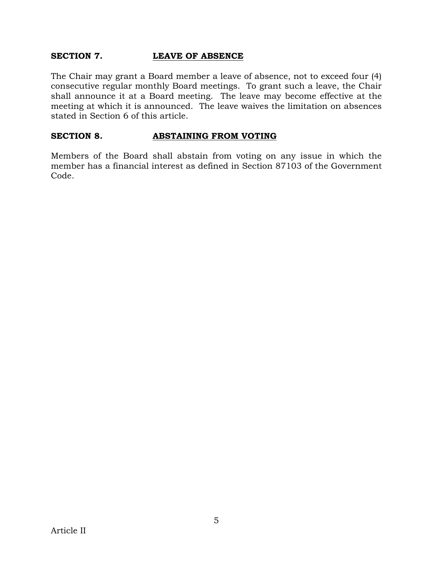### **SECTION 7. LEAVE OF ABSENCE**

The Chair may grant a Board member a leave of absence, not to exceed four (4) consecutive regular monthly Board meetings. To grant such a leave, the Chair shall announce it at a Board meeting. The leave may become effective at the meeting at which it is announced. The leave waives the limitation on absences stated in Section 6 of this article.

### **SECTION 8. ABSTAINING FROM VOTING**

Members of the Board shall abstain from voting on any issue in which the member has a financial interest as defined in Section 87103 of the Government Code.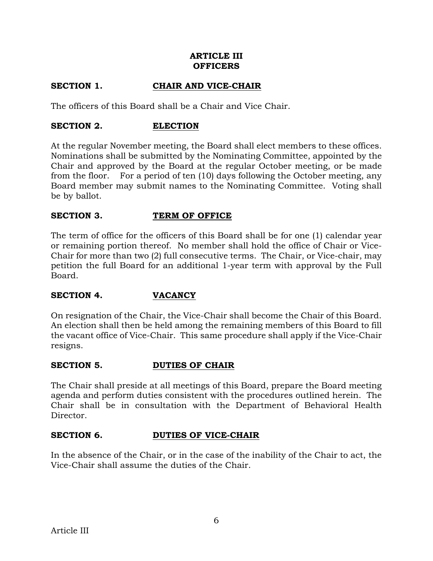## **ARTICLE III OFFICERS**

# **SECTION 1. CHAIR AND VICE-CHAIR**

The officers of this Board shall be a Chair and Vice Chair.

## **SECTION 2. ELECTION**

At the regular November meeting, the Board shall elect members to these offices. Nominations shall be submitted by the Nominating Committee, appointed by the Chair and approved by the Board at the regular October meeting, or be made from the floor. For a period of ten (10) days following the October meeting, any Board member may submit names to the Nominating Committee. Voting shall be by ballot.

## **SECTION 3. TERM OF OFFICE**

The term of office for the officers of this Board shall be for one (1) calendar year or remaining portion thereof. No member shall hold the office of Chair or Vice-Chair for more than two (2) full consecutive terms. The Chair, or Vice-chair, may petition the full Board for an additional 1-year term with approval by the Full Board.

### **SECTION 4. VACANCY**

On resignation of the Chair, the Vice-Chair shall become the Chair of this Board. An election shall then be held among the remaining members of this Board to fill the vacant office of Vice-Chair. This same procedure shall apply if the Vice-Chair resigns.

### **SECTION 5. DUTIES OF CHAIR**

The Chair shall preside at all meetings of this Board, prepare the Board meeting agenda and perform duties consistent with the procedures outlined herein. The Chair shall be in consultation with the Department of Behavioral Health Director.

# **SECTION 6. DUTIES OF VICE-CHAIR**

In the absence of the Chair, or in the case of the inability of the Chair to act, the Vice-Chair shall assume the duties of the Chair.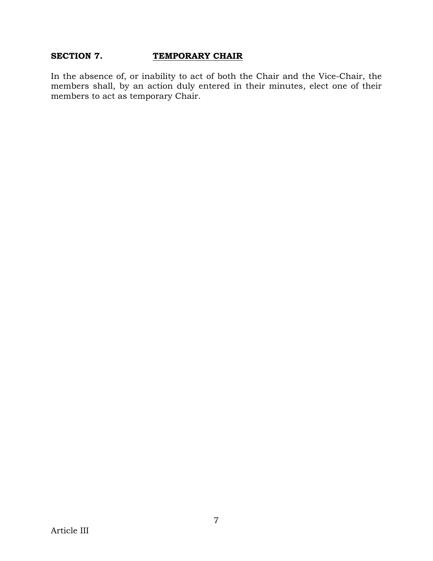### **SECTION 7. TEMPORARY CHAIR**

In the absence of, or inability to act of both the Chair and the Vice-Chair, the members shall, by an action duly entered in their minutes, elect one of their members to act as temporary Chair.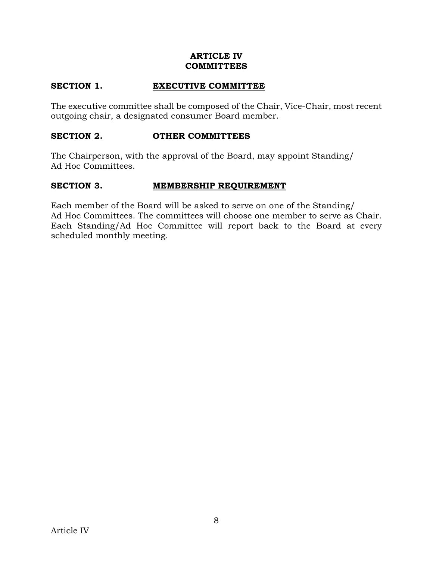### **ARTICLE IV COMMITTEES**

### SECTION 1. **EXECUTIVE COMMITTEE**

The executive committee shall be composed of the Chair, Vice-Chair, most recent outgoing chair, a designated consumer Board member.

#### **SECTION 2. OTHER COMMITTEES**

The Chairperson, with the approval of the Board, may appoint Standing/ Ad Hoc Committees.

#### **SECTION 3. MEMBERSHIP REQUIREMENT**

Each member of the Board will be asked to serve on one of the Standing/ Ad Hoc Committees. The committees will choose one member to serve as Chair. Each Standing/Ad Hoc Committee will report back to the Board at every scheduled monthly meeting.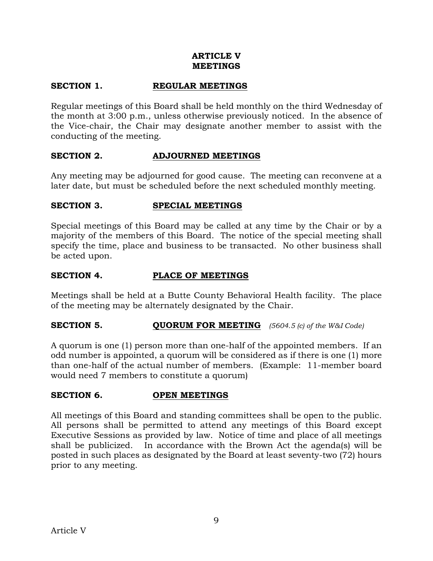### **ARTICLE V MEETINGS**

# **SECTION 1. REGULAR MEETINGS**

Regular meetings of this Board shall be held monthly on the third Wednesday of the month at 3:00 p.m., unless otherwise previously noticed. In the absence of the Vice-chair, the Chair may designate another member to assist with the conducting of the meeting.

### **SECTION 2. ADJOURNED MEETINGS**

Any meeting may be adjourned for good cause. The meeting can reconvene at a later date, but must be scheduled before the next scheduled monthly meeting.

### **SECTION 3. SPECIAL MEETINGS**

Special meetings of this Board may be called at any time by the Chair or by a majority of the members of this Board. The notice of the special meeting shall specify the time, place and business to be transacted. No other business shall be acted upon.

#### **SECTION 4. PLACE OF MEETINGS**

Meetings shall be held at a Butte County Behavioral Health facility. The place of the meeting may be alternately designated by the Chair.

### **SECTION 5. QUORUM FOR MEETING** *(5604.5 (c) of the W&I Code)*

A quorum is one (1) person more than one-half of the appointed members. If an odd number is appointed, a quorum will be considered as if there is one (1) more than one-half of the actual number of members. (Example: 11-member board would need 7 members to constitute a quorum)

### **SECTION 6. OPEN MEETINGS**

All meetings of this Board and standing committees shall be open to the public. All persons shall be permitted to attend any meetings of this Board except Executive Sessions as provided by law. Notice of time and place of all meetings shall be publicized. In accordance with the Brown Act the agenda(s) will be posted in such places as designated by the Board at least seventy-two (72) hours prior to any meeting.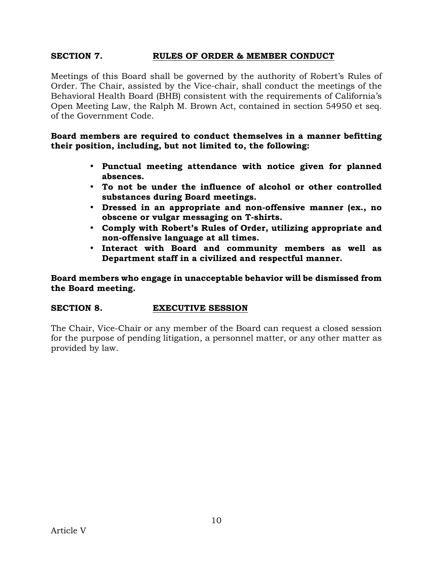## **SECTION 7. RULES OF ORDER & MEMBER CONDUCT**

Meetings of this Board shall be governed by the authority of Robert's Rules of Order. The Chair, assisted by the Vice-chair, shall conduct the meetings of the Behavioral Health Board (BHB) consistent with the requirements of California's Open Meeting Law, the Ralph M. Brown Act, contained in section 54950 et seq. of the Government Code.

**Board members are required to conduct themselves in a manner befitting their position, including, but not limited to, the following:** 

- **Punctual meeting attendance with notice given for planned absences.**
- **To not be under the influence of alcohol or other controlled substances during Board meetings.**
- **Dressed in an appropriate and non-offensive manner (ex., no obscene or vulgar messaging on T-shirts.**
- **Comply with Robert's Rules of Order, utilizing appropriate and non-offensive language at all times.**
- **Interact with Board and community members as well as Department staff in a civilized and respectful manner.**

**Board members who engage in unacceptable behavior will be dismissed from the Board meeting.** 

### **SECTION 8. EXECUTIVE SESSION**

The Chair, Vice-Chair or any member of the Board can request a closed session for the purpose of pending litigation, a personnel matter, or any other matter as provided by law.